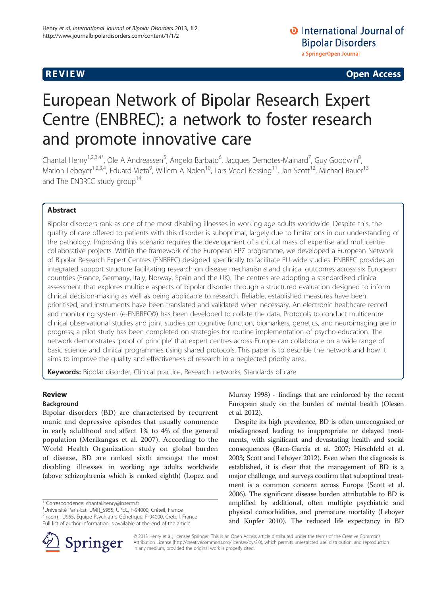**REVIEW REVIEW CONSTRUCTER ACCESS** 

# European Network of Bipolar Research Expert Centre (ENBREC): a network to foster research and promote innovative care

Chantal Henry<sup>1,2,3,4\*</sup>, Ole A Andreassen<sup>5</sup>, Angelo Barbato<sup>6</sup>, Jacques Demotes-Mainard<sup>7</sup>, Guy Goodwin<sup>8</sup> , Marion Leboyer<sup>1,2,3,4</sup>, Eduard Vieta<sup>9</sup>, Willem A Nolen<sup>10</sup>, Lars Vedel Kessing<sup>11</sup>, Jan Scott<sup>12</sup>, Michael Bauer<sup>13</sup> and The ENBREC study group<sup>14</sup>

# Abstract

Bipolar disorders rank as one of the most disabling illnesses in working age adults worldwide. Despite this, the quality of care offered to patients with this disorder is suboptimal, largely due to limitations in our understanding of the pathology. Improving this scenario requires the development of a critical mass of expertise and multicentre collaborative projects. Within the framework of the European FP7 programme, we developed a European Network of Bipolar Research Expert Centres (ENBREC) designed specifically to facilitate EU-wide studies. ENBREC provides an integrated support structure facilitating research on disease mechanisms and clinical outcomes across six European countries (France, Germany, Italy, Norway, Spain and the UK). The centres are adopting a standardised clinical assessment that explores multiple aspects of bipolar disorder through a structured evaluation designed to inform clinical decision-making as well as being applicable to research. Reliable, established measures have been prioritised, and instruments have been translated and validated when necessary. An electronic healthcare record and monitoring system (e-ENBREC©) has been developed to collate the data. Protocols to conduct multicentre clinical observational studies and joint studies on cognitive function, biomarkers, genetics, and neuroimaging are in progress; a pilot study has been completed on strategies for routine implementation of psycho-education. The network demonstrates 'proof of principle' that expert centres across Europe can collaborate on a wide range of basic science and clinical programmes using shared protocols. This paper is to describe the network and how it aims to improve the quality and effectiveness of research in a neglected priority area.

Keywords: Bipolar disorder, Clinical practice, Research networks, Standards of care

# Review

# Background

Bipolar disorders (BD) are characterised by recurrent manic and depressive episodes that usually commence in early adulthood and affect 1% to 4% of the general population (Merikangas et al. [2007\)](#page-6-0). According to the World Health Organization study on global burden of disease, BD are ranked sixth amongst the most disabling illnesses in working age adults worldwide (above schizophrenia which is ranked eighth) (Lopez and

\* Correspondence: [chantal.henry@inserm.fr](mailto:chantal.henry@inserm.fr) <sup>1</sup>

<sup>1</sup>Université Paris-Est, UMR\_S955, UPEC, F-94000, Créteil, France

Springer

Murray [1998\)](#page-6-0) - findings that are reinforced by the recent European study on the burden of mental health (Olesen et al. [2012\)](#page-7-0).

Despite its high prevalence, BD is often unrecognised or misdiagnosed leading to inappropriate or delayed treatments, with significant and devastating health and social consequences (Baca-Garcia et al. [2007](#page-6-0); Hirschfeld et al. [2003;](#page-6-0) Scott and Leboyer [2012](#page-7-0)). Even when the diagnosis is established, it is clear that the management of BD is a major challenge, and surveys confirm that suboptimal treatment is a common concern across Europe (Scott et al. [2006\)](#page-7-0). The significant disease burden attributable to BD is amplified by additional, often multiple psychiatric and physical comorbidities, and premature mortality (Leboyer and Kupfer [2010\)](#page-6-0). The reduced life expectancy in BD

© 2013 Henry et al.; licensee Springer. This is an Open Access article distributed under the terms of the Creative Commons Attribution License [\(http://creativecommons.org/licenses/by/2.0\)](http://creativecommons.org/licenses/by/2.0), which permits unrestricted use, distribution, and reproduction in any medium, provided the original work is properly cited.

<sup>&</sup>lt;sup>2</sup>Inserm, U955, Equipe Psychiatrie Génétique, F-94000, Créteil, France Full list of author information is available at the end of the article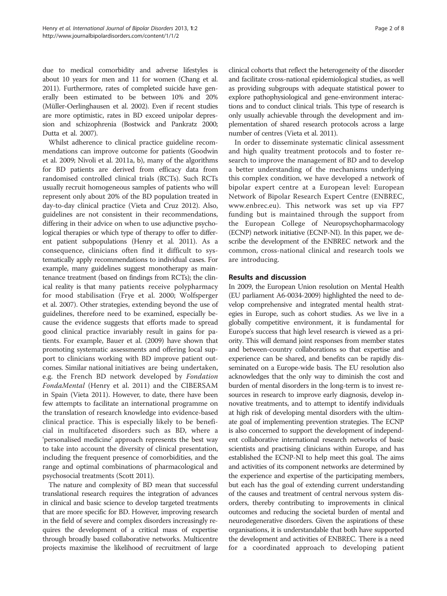due to medical comorbidity and adverse lifestyles is about 10 years for men and 11 for women (Chang et al. [2011\)](#page-6-0). Furthermore, rates of completed suicide have generally been estimated to be between 10% and 20% (Müller-Oerlinghausen et al. [2002](#page-6-0)). Even if recent studies are more optimistic, rates in BD exceed unipolar depression and schizophrenia (Bostwick and Pankratz [2000](#page-6-0); Dutta et al. [2007](#page-6-0)).

Whilst adherence to clinical practice guideline recommendations can improve outcome for patients (Goodwin et al. [2009;](#page-6-0) Nivoli et al. [2011a](#page-6-0), [b\)](#page-7-0), many of the algorithms for BD patients are derived from efficacy data from randomised controlled clinical trials (RCTs). Such RCTs usually recruit homogeneous samples of patients who will represent only about 20% of the BD population treated in day-to-day clinical practice (Vieta and Cruz [2012](#page-7-0)). Also, guidelines are not consistent in their recommendations, differing in their advice on when to use adjunctive psychological therapies or which type of therapy to offer to different patient subpopulations (Henry et al. [2011](#page-6-0)). As a consequence, clinicians often find it difficult to systematically apply recommendations to individual cases. For example, many guidelines suggest monotherapy as maintenance treatment (based on findings from RCTs); the clinical reality is that many patients receive polypharmacy for mood stabilisation (Frye et al. [2000;](#page-6-0) Wolfsperger et al. [2007](#page-7-0)). Other strategies, extending beyond the use of guidelines, therefore need to be examined, especially because the evidence suggests that efforts made to spread good clinical practice invariably result in gains for patients. For example, Bauer et al. [\(2009\)](#page-6-0) have shown that promoting systematic assessments and offering local support to clinicians working with BD improve patient outcomes. Similar national initiatives are being undertaken, e.g. the French BD network developed by Fondation FondaMental (Henry et al. [2011\)](#page-6-0) and the CIBERSAM in Spain (Vieta [2011](#page-7-0)). However, to date, there have been few attempts to facilitate an international programme on the translation of research knowledge into evidence-based clinical practice. This is especially likely to be beneficial in multifaceted disorders such as BD, where a 'personalised medicine' approach represents the best way to take into account the diversity of clinical presentation, including the frequent presence of comorbidities, and the range and optimal combinations of pharmacological and psychosocial treatments (Scott [2011](#page-7-0)).

The nature and complexity of BD mean that successful translational research requires the integration of advances in clinical and basic science to develop targeted treatments that are more specific for BD. However, improving research in the field of severe and complex disorders increasingly requires the development of a critical mass of expertise through broadly based collaborative networks. Multicentre projects maximise the likelihood of recruitment of large

clinical cohorts that reflect the heterogeneity of the disorder and facilitate cross-national epidemiological studies, as well as providing subgroups with adequate statistical power to explore pathophysiological and gene-environment interactions and to conduct clinical trials. This type of research is only usually achievable through the development and implementation of shared research protocols across a large number of centres (Vieta et al. [2011](#page-7-0)).

In order to disseminate systematic clinical assessment and high quality treatment protocols and to foster research to improve the management of BD and to develop a better understanding of the mechanisms underlying this complex condition, we have developed a network of bipolar expert centre at a European level: European Network of Bipolar Research Expert Centre (ENBREC, [www.enbrec.eu\)](http://www.enbrec.eu/). This network was set up via FP7 funding but is maintained through the support from the European College of Neuropsychopharmacology (ECNP) network initiative (ECNP-NI). In this paper, we describe the development of the ENBREC network and the common, cross-national clinical and research tools we are introducing.

# Results and discussion

In 2009, the European Union resolution on Mental Health (EU parliament A6-0034-2009) highlighted the need to develop comprehensive and integrated mental health strategies in Europe, such as cohort studies. As we live in a globally competitive environment, it is fundamental for Europe's success that high level research is viewed as a priority. This will demand joint responses from member states and between-country collaborations so that expertise and experience can be shared, and benefits can be rapidly disseminated on a Europe-wide basis. The EU resolution also acknowledges that the only way to diminish the cost and burden of mental disorders in the long-term is to invest resources in research to improve early diagnosis, develop innovative treatments, and to attempt to identify individuals at high risk of developing mental disorders with the ultimate goal of implementing prevention strategies. The ECNP is also concerned to support the development of independent collaborative international research networks of basic scientists and practising clinicians within Europe, and has established the ECNP-NI to help meet this goal. The aims and activities of its component networks are determined by the experience and expertise of the participating members, but each has the goal of extending current understanding of the causes and treatment of central nervous system disorders, thereby contributing to improvements in clinical outcomes and reducing the societal burden of mental and neurodegenerative disorders. Given the aspirations of these organisations, it is understandable that both have supported the development and activities of ENBREC. There is a need for a coordinated approach to developing patient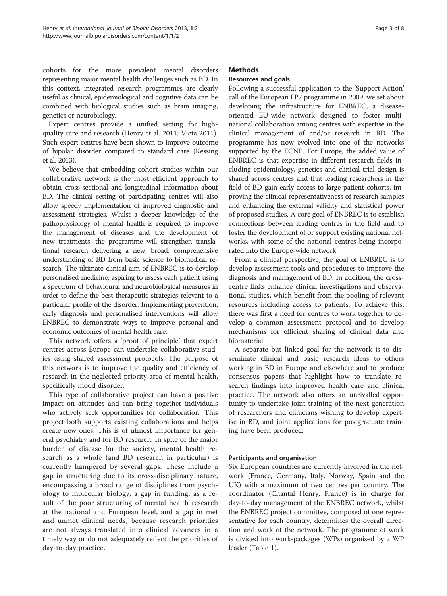cohorts for the more prevalent mental disorders representing major mental health challenges such as BD. In this context, integrated research programmes are clearly useful as clinical, epidemiological and cognitive data can be combined with biological studies such as brain imaging, genetics or neurobiology.

Expert centres provide a unified setting for highquality care and research (Henry et al. [2011](#page-6-0); Vieta [2011](#page-7-0)). Such expert centres have been shown to improve outcome of bipolar disorder compared to standard care (Kessing et al. [2013\)](#page-6-0).

We believe that embedding cohort studies within our collaborative network is the most efficient approach to obtain cross-sectional and longitudinal information about BD. The clinical setting of participating centres will also allow speedy implementation of improved diagnostic and assessment strategies. Whilst a deeper knowledge of the pathophysiology of mental health is required to improve the management of diseases and the development of new treatments, the programme will strengthen translational research delivering a new, broad, comprehensive understanding of BD from basic science to biomedical research. The ultimate clinical aim of ENBREC is to develop personalised medicine, aspiring to assess each patient using a spectrum of behavioural and neurobiological measures in order to define the best therapeutic strategies relevant to a particular profile of the disorder. Implementing prevention, early diagnosis and personalised interventions will allow ENBREC to demonstrate ways to improve personal and economic outcomes of mental health care.

This network offers a 'proof of principle' that expert centres across Europe can undertake collaborative studies using shared assessment protocols. The purpose of this network is to improve the quality and efficiency of research in the neglected priority area of mental health, specifically mood disorder.

This type of collaborative project can have a positive impact on attitudes and can bring together individuals who actively seek opportunities for collaboration. This project both supports existing collaborations and helps create new ones. This is of utmost importance for general psychiatry and for BD research. In spite of the major burden of disease for the society, mental health research as a whole (and BD research in particular) is currently hampered by several gaps. These include a gap in structuring due to its cross-disciplinary nature, encompassing a broad range of disciplines from psychology to molecular biology, a gap in funding, as a result of the poor structuring of mental health research at the national and European level, and a gap in met and unmet clinical needs, because research priorities are not always translated into clinical advances in a timely way or do not adequately reflect the priorities of day-to-day practice.

# **Methods**

# Resources and goals

Following a successful application to the 'Support Action' call of the European FP7 programme in 2009, we set about developing the infrastructure for ENBREC, a diseaseoriented EU-wide network designed to foster multinational collaboration among centres with expertise in the clinical management of and/or research in BD. The programme has now evolved into one of the networks supported by the ECNP. For Europe, the added value of ENBREC is that expertise in different research fields including epidemiology, genetics and clinical trial design is shared across centres and that leading researchers in the field of BD gain early access to large patient cohorts, improving the clinical representativeness of research samples and enhancing the external validity and statistical power of proposed studies. A core goal of ENBREC is to establish connections between leading centres in the field and to foster the development of or support existing national networks, with some of the national centres being incorporated into the Europe-wide network.

From a clinical perspective, the goal of ENBREC is to develop assessment tools and procedures to improve the diagnosis and management of BD. In addition, the crosscentre links enhance clinical investigations and observational studies, which benefit from the pooling of relevant resources including access to patients. To achieve this, there was first a need for centres to work together to develop a common assessment protocol and to develop mechanisms for efficient sharing of clinical data and biomaterial.

A separate but linked goal for the network is to disseminate clinical and basic research ideas to others working in BD in Europe and elsewhere and to produce consensus papers that highlight how to translate research findings into improved health care and clinical practice. The network also offers an unrivalled opportunity to undertake joint training of the next generation of researchers and clinicians wishing to develop expertise in BD, and joint applications for postgraduate training have been produced.

#### Participants and organisation

Six European countries are currently involved in the network (France, Germany, Italy, Norway, Spain and the UK) with a maximum of two centres per country. The coordinator (Chantal Henry, France) is in charge for day-to-day management of the ENBREC network, whilst the ENBREC project committee, composed of one representative for each country, determines the overall direction and work of the network. The programme of work is divided into work-packages (WPs) organised by a WP leader (Table [1](#page-3-0)).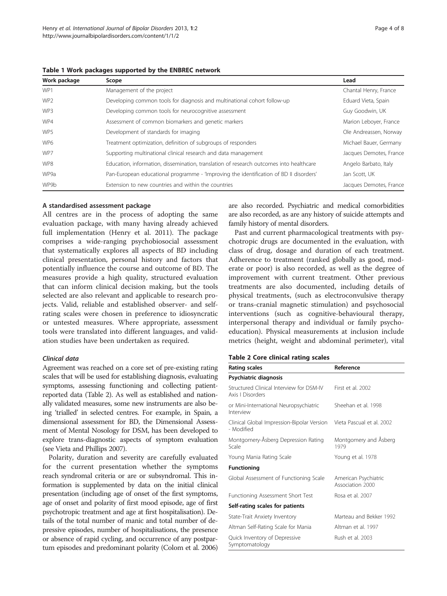<span id="page-3-0"></span>

| Table 1 Work packages supported by the ENBREC network |  |
|-------------------------------------------------------|--|

| Work package    | Scope                                                                                   | Lead                    |
|-----------------|-----------------------------------------------------------------------------------------|-------------------------|
| WP1             | Management of the project                                                               | Chantal Henry, France   |
| WP <sub>2</sub> | Developing common tools for diagnosis and multinational cohort follow-up                | Eduard Vieta, Spain     |
| WP3             | Developing common tools for neurocognitive assessment                                   | Guy Goodwin, UK         |
| WP4             | Assessment of common biomarkers and genetic markers                                     | Marion Leboyer, France  |
| WP5             | Development of standards for imaging                                                    | Ole Andreassen, Norway  |
| WP6             | Treatment optimization, definition of subgroups of responders                           | Michael Bauer, Germany  |
| WP7             | Supporting multinational clinical research and data management                          | Jacques Demotes, France |
| WP8             | Education, information, dissemination, translation of research outcomes into healthcare | Angelo Barbato, Italy   |
| WP9a            | Pan-European educational programme - 'Improving the identification of BD II disorders'  | Jan Scott, UK           |
| WP9b            | Extension to new countries and within the countries                                     | Jacques Demotes, France |

#### A standardised assessment package

All centres are in the process of adopting the same evaluation package, with many having already achieved full implementation (Henry et al. [2011](#page-6-0)). The package comprises a wide-ranging psychobiosocial assessment that systematically explores all aspects of BD including clinical presentation, personal history and factors that potentially influence the course and outcome of BD. The measures provide a high quality, structured evaluation that can inform clinical decision making, but the tools selected are also relevant and applicable to research projects. Valid, reliable and established observer- and selfrating scales were chosen in preference to idiosyncratic or untested measures. Where appropriate, assessment tools were translated into different languages, and validation studies have been undertaken as required.

# Clinical data

Agreement was reached on a core set of pre-existing rating scales that will be used for establishing diagnosis, evaluating symptoms, assessing functioning and collecting patientreported data (Table 2). As well as established and nationally validated measures, some new instruments are also being 'trialled' in selected centres. For example, in Spain, a dimensional assessment for BD, the Dimensional Assessment of Mental Nosology for DSM, has been developed to explore trans-diagnostic aspects of symptom evaluation (see Vieta and Phillips [2007](#page-7-0)).

Polarity, duration and severity are carefully evaluated for the current presentation whether the symptoms reach syndromal criteria or are or subsyndromal. This information is supplemented by data on the initial clinical presentation (including age of onset of the first symptoms, age of onset and polarity of first mood episode, age of first psychotropic treatment and age at first hospitalisation). Details of the total number of manic and total number of depressive episodes, number of hospitalisations, the presence or absence of rapid cycling, and occurrence of any postpartum episodes and predominant polarity (Colom et al. [2006](#page-6-0)) are also recorded. Psychiatric and medical comorbidities are also recorded, as are any history of suicide attempts and family history of mental disorders.

Past and current pharmacological treatments with psychotropic drugs are documented in the evaluation, with class of drug, dosage and duration of each treatment. Adherence to treatment (ranked globally as good, moderate or poor) is also recorded, as well as the degree of improvement with current treatment. Other previous treatments are also documented, including details of physical treatments, (such as electroconvulsive therapy or trans-cranial magnetic stimulation) and psychosocial interventions (such as cognitive-behavioural therapy, interpersonal therapy and individual or family psychoeducation). Physical measurements at inclusion include metrics (height, weight and abdominal perimeter), vital

#### Table 2 Core clinical rating scales

| <b>Rating scales</b>                                         | Reference                                |  |
|--------------------------------------------------------------|------------------------------------------|--|
| Psychiatric diagnosis                                        |                                          |  |
| Structured Clinical Interview for DSM-IV<br>Axis   Disorders | First et al. 2002                        |  |
| or Mini-International Neuropsychiatric<br>Interview          | Sheehan et al. 1998                      |  |
| Clinical Global Impression-Bipolar Version<br>- Modified     | Vieta Pascual et al. 2002                |  |
| Montgomery-Åsberg Depression Rating<br>Scale                 | Montgomery and Åsberg<br>1979            |  |
| Young Mania Rating Scale                                     | Young et al. 1978                        |  |
| <b>Functioning</b>                                           |                                          |  |
| Global Assessment of Functioning Scale                       | American Psychiatric<br>Association 2000 |  |
| Functioning Assessment Short Test                            | Rosa et al. 2007                         |  |
| Self-rating scales for patients                              |                                          |  |
| State-Trait Anxiety Inventory                                | Marteau and Bekker 1992                  |  |
| Altman Self-Rating Scale for Mania                           | Altman et al. 1997                       |  |
| Quick Inventory of Depressive<br>Symptomatology              | Rush et al. 2003                         |  |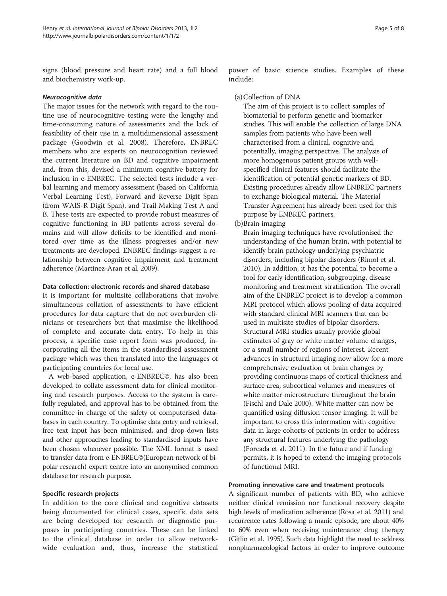signs (blood pressure and heart rate) and a full blood and biochemistry work-up.

#### Neurocognitive data

The major issues for the network with regard to the routine use of neurocognitive testing were the lengthy and time-consuming nature of assessments and the lack of feasibility of their use in a multidimensional assessment package (Goodwin et al. [2008\)](#page-6-0). Therefore, ENBREC members who are experts on neurocognition reviewed the current literature on BD and cognitive impairment and, from this, devised a minimum cognitive battery for inclusion in e-ENBREC. The selected tests include a verbal learning and memory assessment (based on California Verbal Learning Test), Forward and Reverse Digit Span (from WAIS-R Digit Span), and Trail Making Test A and B. These tests are expected to provide robust measures of cognitive functioning in BD patients across several domains and will allow deficits to be identified and monitored over time as the illness progresses and/or new treatments are developed. ENBREC findings suggest a relationship between cognitive impairment and treatment adherence (Martinez-Aran et al. [2009\)](#page-6-0).

### Data collection: electronic records and shared database

It is important for multisite collaborations that involve simultaneous collation of assessments to have efficient procedures for data capture that do not overburden clinicians or researchers but that maximise the likelihood of complete and accurate data entry. To help in this process, a specific case report form was produced, incorporating all the items in the standardised assessment package which was then translated into the languages of participating countries for local use.

A web-based application, e-ENBREC©, has also been developed to collate assessment data for clinical monitoring and research purposes. Access to the system is carefully regulated, and approval has to be obtained from the committee in charge of the safety of computerised databases in each country. To optimise data entry and retrieval, free text input has been minimised, and drop-down lists and other approaches leading to standardised inputs have been chosen whenever possible. The XML format is used to transfer data from e-ENBREC©(European network of bipolar research) expert centre into an anonymised common database for research purpose.

#### Specific research projects

In addition to the core clinical and cognitive datasets being documented for clinical cases, specific data sets are being developed for research or diagnostic purposes in participating countries. These can be linked to the clinical database in order to allow networkwide evaluation and, thus, increase the statistical

power of basic science studies. Examples of these include:

### (a)Collection of DNA

The aim of this project is to collect samples of biomaterial to perform genetic and biomarker studies. This will enable the collection of large DNA samples from patients who have been well characterised from a clinical, cognitive and, potentially, imaging perspective. The analysis of more homogenous patient groups with wellspecified clinical features should facilitate the identification of potential genetic markers of BD. Existing procedures already allow ENBREC partners to exchange biological material. The Material Transfer Agreement has already been used for this purpose by ENBREC partners.

(b)Brain imaging

Brain imaging techniques have revolutionised the understanding of the human brain, with potential to identify brain pathology underlying psychiatric disorders, including bipolar disorders (Rimol et al. [2010\)](#page-7-0). In addition, it has the potential to become a tool for early identification, subgrouping, disease monitoring and treatment stratification. The overall aim of the ENBREC project is to develop a common MRI protocol which allows pooling of data acquired with standard clinical MRI scanners that can be used in multisite studies of bipolar disorders. Structural MRI studies usually provide global estimates of gray or white matter volume changes, or a small number of regions of interest. Recent advances in structural imaging now allow for a more comprehensive evaluation of brain changes by providing continuous maps of cortical thickness and surface area, subcortical volumes and measures of white matter microstructure throughout the brain (Fischl and Dale [2000\)](#page-6-0). White matter can now be quantified using diffusion tensor imaging. It will be important to cross this information with cognitive data in large cohorts of patients in order to address any structural features underlying the pathology (Forcada et al. [2011\)](#page-6-0). In the future and if funding permits, it is hoped to extend the imaging protocols of functional MRI.

# Promoting innovative care and treatment protocols

A significant number of patients with BD, who achieve neither clinical remission nor functional recovery despite high levels of medication adherence (Rosa et al. [2011](#page-7-0)) and recurrence rates following a manic episode, are about 40% to 60% even when receiving maintenance drug therapy (Gitlin et al. [1995\)](#page-6-0). Such data highlight the need to address nonpharmacological factors in order to improve outcome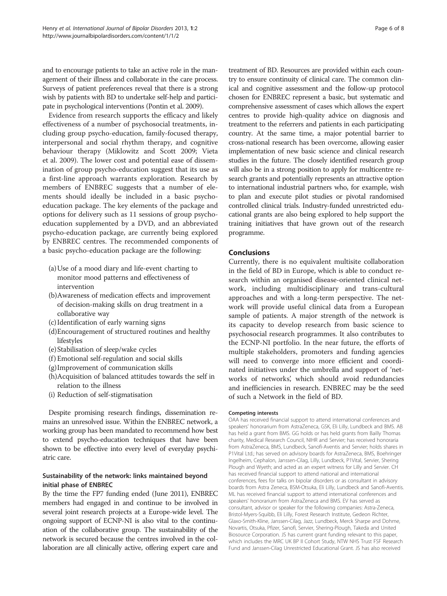and to encourage patients to take an active role in the management of their illness and collaborate in the care process. Surveys of patient preferences reveal that there is a strong wish by patients with BD to undertake self-help and participate in psychological interventions (Pontin et al. [2009](#page-7-0)).

Evidence from research supports the efficacy and likely effectiveness of a number of psychosocial treatments, including group psycho-education, family-focused therapy, interpersonal and social rhythm therapy, and cognitive behaviour therapy (Miklowitz and Scott [2009;](#page-6-0) Vieta et al. [2009\)](#page-7-0). The lower cost and potential ease of dissemination of group psycho-education suggest that its use as a first-line approach warrants exploration. Research by members of ENBREC suggests that a number of elements should ideally be included in a basic psychoeducation package. The key elements of the package and options for delivery such as 11 sessions of group psychoeducation supplemented by a DVD, and an abbreviated psycho-education package, are currently being explored by ENBREC centres. The recommended components of a basic psycho-education package are the following:

- (a)Use of a mood diary and life-event charting to monitor mood patterns and effectiveness of intervention
- (b)Awareness of medication effects and improvement of decision-making skills on drug treatment in a collaborative way
- (c) Identification of early warning signs
- (d)Encouragement of structured routines and healthy lifestyles
- (e) Stabilisation of sleep/wake cycles
- (f) Emotional self-regulation and social skills
- (g)Improvement of communication skills
- (h)Acquisition of balanced attitudes towards the self in relation to the illness
- (i) Reduction of self-stigmatisation

Despite promising research findings, dissemination remains an unresolved issue. Within the ENBREC network, a working group has been mandated to recommend how best to extend psycho-education techniques that have been shown to be effective into every level of everyday psychiatric care.

# Sustainability of the network: links maintained beyond initial phase of ENBREC

By the time the FP7 funding ended (June 2011), ENBREC members had engaged in and continue to be involved in several joint research projects at a Europe-wide level. The ongoing support of ECNP-NI is also vital to the continuation of the collaborative group. The sustainability of the network is secured because the centres involved in the collaboration are all clinically active, offering expert care and

treatment of BD. Resources are provided within each country to ensure continuity of clinical care. The common clinical and cognitive assessment and the follow-up protocol chosen for ENBREC represent a basic, but systematic and comprehensive assessment of cases which allows the expert centres to provide high-quality advice on diagnosis and treatment to the referrers and patients in each participating country. At the same time, a major potential barrier to cross-national research has been overcome, allowing easier implementation of new basic science and clinical research studies in the future. The closely identified research group will also be in a strong position to apply for multicentre research grants and potentially represents an attractive option to international industrial partners who, for example, wish to plan and execute pilot studies or pivotal randomised controlled clinical trials. Industry-funded unrestricted educational grants are also being explored to help support the training initiatives that have grown out of the research programme.

### Conclusions

Currently, there is no equivalent multisite collaboration in the field of BD in Europe, which is able to conduct research within an organised disease-oriented clinical network, including multidisciplinary and trans-cultural approaches and with a long-term perspective. The network will provide useful clinical data from a European sample of patients. A major strength of the network is its capacity to develop research from basic science to psychosocial research programmes. It also contributes to the ECNP-NI portfolio. In the near future, the efforts of multiple stakeholders, promoters and funding agencies will need to converge into more efficient and coordinated initiatives under the umbrella and support of 'networks of networks', which should avoid redundancies and inefficiencies in research. ENBREC may be the seed of such a Network in the field of BD.

#### Competing interests

OAA has received financial support to attend international conferences and speakers' honorarium from AstraZeneca, GSK, Eli Lilly, Lundbeck and BMS. AB has held a grant from BMS. GG holds or has held grants from Bailly Thomas charity, Medical Research Council, NIHR and Servier; has received honoraria from AstraZeneca, BMS, Lundbeck, Sanofi-Aventis and Servier; holds shares in P1Vital Ltd.; has served on advisory boards for AstraZeneca, BMS, Boehringer Ingelheim, Cephalon, Janssen-Cilag, Lilly, Lundbeck, P1Vital, Servier, Shering Plough and Wyeth; and acted as an expert witness for Lilly and Servier. CH has received financial support to attend national and international conferences, fees for talks on bipolar disorders or as consultant in advisory boards from Astra Zeneca, BSM-Otsuka, Eli Lilly, Lundbeck and Sanofi-Aventis. ML has received financial support to attend international conferences and speakers' honorarium from AstraZeneca and BMS. EV has served as consultant, advisor or speaker for the following companies: Astra-Zeneca, Bristol-Myers-Squibb, Eli Lilly, Forest Research Institute, Gedeon Richter, Glaxo-Smith-Kline, Janssen-Cilag, Jazz, Lundbeck, Merck Sharpe and Dohme, Novartis, Otsuka, Pfizer, Sanofi, Servier, Shering-Plough, Takeda and United Biosource Corporation. JS has current grant funding relevant to this paper, which includes the MRC UK BP II Cohort Study, NTW NHS Trust FSF Research Fund and Janssen-Cilag Unrestricted Educational Grant. JS has also received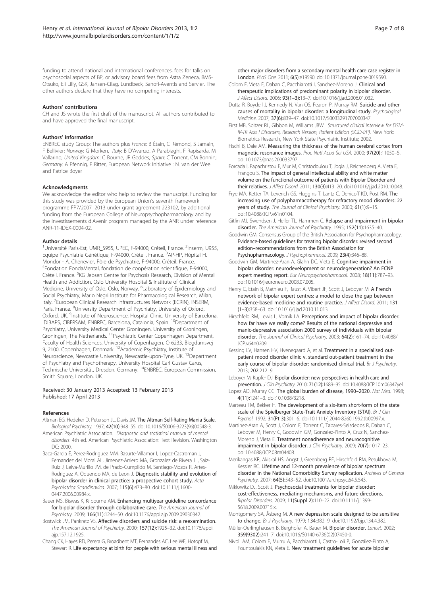<span id="page-6-0"></span>funding to attend national and international conferences, fees for talks on psychosocial aspects of BP, or advisory board fees from Astra Zeneca, BMS-Otsuko, Eli Lilly, GSK, Jansen-Cilag, Lundbeck, Sanofi-Aventis and Servier. The other authors declare that they have no competing interests.

#### Authors' contributions

CH and JS wrote the first draft of the manuscript. All authors contributed to and have approved the final manuscript.

#### Authors' information

ENBREC study Group: The authors plus France: B Étain, C Rémond, S Jamain, F Bellivier; Norway: G Morken, Italy:BD'Avanzo, A Parabiaghi, F Rapisarda, M Vallarino; United Kingdom: C Bourne, JR Geddes; Spain: C Torrent, CM Bonnin; Germany: A Pfennig, P Ritter, European Network Initiative : N. van der Wee and Patrice Boyer

#### Acknowledgments

We acknowledge the editor who help to review the manuscript. Funding for this study was provided by the European Union's seventh framework programme FP7/2007–2013 under grant agreement 223102, by additional funding from the European College of Neuropsychopharmacology and by the Investissements d'Avenir program managed by the ANR under reference ANR-11-IDEX-0004-02.

#### Author details

<sup>1</sup>Université Paris-Est, UMR\_S955, UPEC, F-94000, Créteil, France. <sup>2</sup>Inserm, U955, Equipe Psychiatrie Génétique, F-94000, Créteil, France. <sup>3</sup>AP-HP, Hôpital H. Mondor - A. Chenevier, Pôle de Psychiatrie, F-94000, Créteil, France. 4 Fondation FondaMental, fondation de coopération scientifique, F-94000, Créteil, France. <sup>5</sup>KG Jebsen Centre for Psychosis Research, Division of Mental Health and Addiction, Oslo University Hospital & Institute of Clinical Medicine, University of Oslo, Oslo, Norway. <sup>6</sup>Laboratory of Epidemiology and Social Psychiatry, Mario Negri Institute for Pharmacological Research, Milan, Italy. <sup>7</sup>European Clinical Research Infrastructures Network (ECRIN), INSERM, Paris, France. <sup>8</sup>University Department of Psychiatry, University of Oxford, Oxford, UK. <sup>9</sup>Institute of Neuroscience, Hospital Clinic, University of Barcelona, IDIBAPS, CIBERSAM, ENBREC, Barcelona, Catalonia, Spain. <sup>10</sup>Department of Psychiatry, University Medical Center Groningen, University of Groningen, Groningen, The Netherlands. 11Psychiatric Center Copenhagen Department, Faculty of Health Sciences, University of Copenhagen, O 6233, Blegdamsvej 9, 2100, Copenhagen, Denmark. <sup>12</sup>Academic Psychiatry, Institute of Neuroscience, Newcastle University, Newcastle-upon-Tyne, UK. <sup>13</sup>Department of Psychiatry and Psychotherapy, University Hospital Carl Gustav Carus, Technische Universität, Dresden, Germany. 14ENBREC, European Commission, Smith Square, London, UK.

#### Received: 30 January 2013 Accepted: 13 February 2013 Published: 17 April 2013

#### References

- Altman EG, Hedeker D, Peterson JL, Davis JM. The Altman Self-Rating Mania Scale. Biological Psychiatry. 1997; 42(10):948–55. doi:[10.1016/S0006-3223\(96\)00548-3.](http://dx.doi.org/10.1016/S0006-3223(96)00548-3)
- American Psychiatric Association. Diagnostic and statistical manual of mental disorders. 4th ed. American Psychiatric Association: Text Revision. Washington DC; 2000.
- Baca-Garcia E, Perez-Rodriguez MM, Basurte-Villamor I, Lopez-Castroman J, Fernandez del Moral AL, Jimenez-Arriero MA, Gronzalez de Rivera JL, Saiz-Ruiz J, Leiva-Murillo JM, de Prado-Cumplido M, Santiago-Mozos R, Artes-Rodriguez A, Oquendo MA, de Leon J. Diagnostic stability and evolution of bipolar disorder in clinical practice: a prospective cohort study. Acta Psychiatrica Scandinavica. 2007; 115(6):473–80. doi[:10.1111/j.1600-](http://dx.doi.org/10.1111/j.1600-0447.2006.00984.x) [0447.2006.00984.x.](http://dx.doi.org/10.1111/j.1600-0447.2006.00984.x)
- Bauer MS, Biswas K, Kilbourne AM. Enhancing multiyear guideline concordance for bipolar disorder through collaborative care. The American Journal of Psychiatry. 2009; 166(11):1244–50. doi[:10.1176/appi.ajp.2009.09030342.](http://dx.doi.org/10.1176/appi.ajp.2009.09030342)
- Bostwick JM, Pankratz VS. Affective disorders and suicide risk: a reexamination. The American Journal of Psychiatry. 2000; 157(12):1925–32. doi:[10.1176/appi.](http://dx.doi.org/10.1176/appi.ajp.157.12.1925) [ajp.157.12.1925.](http://dx.doi.org/10.1176/appi.ajp.157.12.1925)
- Chang CK, Hayes RD, Perera G, Broadbent MT, Fernandes AC, Lee WE, Hotopf M, Stewart R. Life expectancy at birth for people with serious mental illness and
- Colom F, Vieta E, Daban C, Pacchiarotti I, Sanchez-Moreno J. Clinical and therapeutic implications of predominant polarity in bipolar disorder. J Affect Disord. 2006; 93(1–3):13–7. doi[:10.1016/j.jad.2006.01.032.](http://dx.doi.org/10.1016/j.jad.2006.01.032)
- Dutta R, Boydell J, Kennedy N, Van OS, Fearon P, Murray RM. Suicide and other causes of mortality in bipolar disorder: a longitudinal study. Psychological Medicine. 2007; 37(6):839–47. doi:[10.1017/S0033291707000347.](http://dx.doi.org/10.1017/S0033291707000347)
- First MB, Spitzer RL, Gibbon M, Williams JBW. Structured clinical interview for DSM-IV-TR Axis I Disorders, Research Version, Patient Edition (SCID-I/P). New York: Biometrics Research, New York State Psychiatric Institute; 2002.
- Fischl B, Dale AM. Measuring the thickness of the human cerebral cortex from magnetic resonance images. Proc Natl Acad Sci USA. 2000; 97(20):11050–5. doi[:10.1073/pnas.200033797](http://dx.doi.org/10.1073/pnas.200033797).

Forcada I, Papachristou E, Mur M, Christodoulou T, Jogia J, Reichenberg A, Vieta E, Frangou S. The impact of general intellectual ability and white matter volume on the functional outcome of patients with Bipolar Disorder and their relatives. J Affect Disord. 2011; 130(3):413-20. doi:[10.1016/j.jad.2010.10.048.](http://dx.doi.org/10.1016/j.jad.2010.10.048)

Frye MA, Ketter TA, Leverich GS, Huggins T, Lantz C, Denicoff KD, Post RM. The increasing use of polypharmacotherapy for refractory mood disorders: 22 years of study. The Journal of Clinical Psychiatry. 2000; 61(1):9-15. doi[:10.4088/JCP.v61n0104.](http://dx.doi.org/10.4088/JCP.v61n0104)

Gitlin MJ, Swendsen J, Heller TL, Hammen C. Relapse and impairment in bipolar disorder. The American Journal of Psychiatry. 1995; 152(11):1635-40.

- Goodwin GM, Consensus Group of the British Association for Psychopharmacology. Evidence-based guidelines for treating bipolar disorder: revised second edition–recommendations from the British Association for Psychopharmacology. J Psychopharmacol. 2009; 23(4):346–88.
- Goodwin GM, Martinez-Aran A, Glahn DC, Vieta E. Cognitive impairment in bipolar disorder: neurodevelopment or neurodegeneration? An ECNP expert meeting report. Eur Neuropsychopharmacol. 2008; 18(11):787–93. doi[:10.1016/j.euroneuro.2008.07.005.](http://dx.doi.org/10.1016/j.euroneuro.2008.07.005)
- Henry C, Etain B, Mathieu F, Raust A, Vibert JF, Scott J, Leboyer M. A French network of bipolar expert centres: a model to close the gap between evidence-based medicine and routine practice. J Affect Disord. 2011; 131 (1–3):358–63. doi[:10.1016/j.jad.2010.11.013.](http://dx.doi.org/10.1016/j.jad.2010.11.013)
- Hirschfeld RM, Lewis L, Vornik LA. Perceptions and impact of bipolar disorder: how far have we really come? Results of the national depressive and manic-depressive association 2000 survey of individuals with bipolar disorder. The Journal of Clinical Psychiatry. 2003; 64(2):161-74. doi:[10.4088/](http://dx.doi.org/10.4088/JCP.v64n0209) [JCP.v64n0209](http://dx.doi.org/10.4088/JCP.v64n0209).
- Kessing LV, Hansen HV, Hvenegaard A, et al. Treatment in a specialised outpatient mood disorder clinic v. standard out-patient treatment in the early course of bipolar disorder: randomised clinical trial. Br J Psychiatry. 2013; 202:212–9.

Leboyer M, Kupfer DJ. Bipolar disorder: new perspectives in health care and prevention. J Clin Psychiatry. 2010; 71(12):1689–95. doi:[10.4088/JCP.10m06347yel.](http://dx.doi.org/10.4088/JCP.10m06347yel)

- Lopez AD, Murray CC. The global burden of disease, 1990–2020. Nat Med. 1998; 4(11):1241–3. doi[:10.1038/3218](http://dx.doi.org/10.1038/3218).
- Marteau TM, Bekker H. The development of a six-item short-form of the state scale of the Spielberger State-Trait Anxiety Inventory (STAI). Br J Clin Psychol. 1992; 31(Pt 3):301-6. doi[:10.1111/j.2044-8260.1992.tb00997.x.](http://dx.doi.org/10.1111/j.2044-8260.1992.tb00997.x)

Martinez-Aran A, Scott J, Colom F, Torrent C, Tabares-Seisdedos R, Daban C, Leboyer M, Henry C, Goodwin GM, Gonzalez-Pinto A, Cruz N, Sanchez-Moreno J, Vieta E. Treatment nonadherence and neurocognitive impairment in bipolar disorder. J Clin Psychiatry. 2009; 70(7):1017–23. doi[:10.4088/JCP.08m04408](http://dx.doi.org/10.4088/JCP.08m04408).

Merikangas KR, Akiskal HS, Angst J, Greenberg PE, Hirschfeld RM, Petukhova M, Kessler RC. Lifetime and 12-month prevalence of bipolar spectrum disorder in the National Comorbidity Survey replication. Archives of General Psychiatry. 2007; 64(5):543–52. doi:[10.1001/archpsyc.64.5.543.](http://dx.doi.org/10.1001/archpsyc.64.5.543)

- Miklowitz DJ, Scott J. Psychosocial treatments for bipolar disorder: cost-effectiveness, mediating mechanisms, and future directions. Bipolar Disorders. 2009; 11(Suppl 2):110–22. doi:[10.1111/j.1399-](http://dx.doi.org/10.1111/j.1399-5618.2009.00715.x) [5618.2009.00715.x.](http://dx.doi.org/10.1111/j.1399-5618.2009.00715.x)
- Montgomery SA, Åsberg M. A new depression scale designed to be sensitive to change. Br J Psychiatry. 1979; 134:382–9. doi[:10.1192/bjp.134.4.382.](http://dx.doi.org/10.1192/bjp.134.4.382)
- Müller-Oerlinghausen B, Berghofer A, Bauer M. Bipolar disorder. Lancet. 2002; 359(9302):241–7. doi[:10.1016/S0140-6736\(02\)07450-0](http://dx.doi.org/10.1016/S0140-6736(02)07450-0).
- Nivoli AM, Colom F, Murru A, Pacchiarotti I, Castro-Loli P, González-Pinto A, Fountoulakis KN, Vieta E. New treatment guidelines for acute bipolar